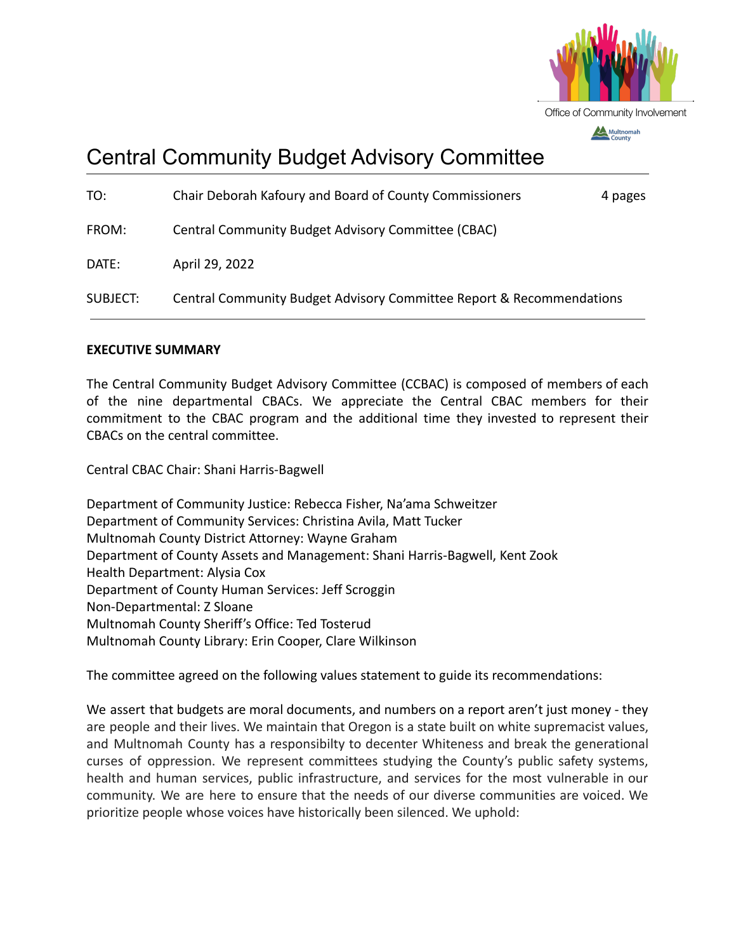

# Central Community Budget Advisory Committee

| TO:             | Chair Deborah Kafoury and Board of County Commissioners              | 4 pages |
|-----------------|----------------------------------------------------------------------|---------|
| FROM:           | Central Community Budget Advisory Committee (CBAC)                   |         |
| DATE:           | April 29, 2022                                                       |         |
| <b>SUBJECT:</b> | Central Community Budget Advisory Committee Report & Recommendations |         |

### **EXECUTIVE SUMMARY**

The Central Community Budget Advisory Committee (CCBAC) is composed of members of each of the nine departmental CBACs. We appreciate the Central CBAC members for their commitment to the CBAC program and the additional time they invested to represent their CBACs on the central committee.

Central CBAC Chair: Shani Harris-Bagwell

Department of Community Justice: Rebecca Fisher, Na'ama Schweitzer Department of Community Services: Christina Avila, Matt Tucker Multnomah County District Attorney: Wayne Graham Department of County Assets and Management: Shani Harris-Bagwell, Kent Zook Health Department: Alysia Cox Department of County Human Services: Jeff Scroggin Non-Departmental: Z Sloane Multnomah County Sheriff's Office: Ted Tosterud Multnomah County Library: Erin Cooper, Clare Wilkinson

The committee agreed on the following values statement to guide its recommendations:

We assert that budgets are moral documents, and numbers on a report aren't just money - they are people and their lives. We maintain that Oregon is a state built on white supremacist values, and Multnomah County has a responsibilty to decenter Whiteness and break the generational curses of oppression. We represent committees studying the County's public safety systems, health and human services, public infrastructure, and services for the most vulnerable in our community. We are here to ensure that the needs of our diverse communities are voiced. We prioritize people whose voices have historically been silenced. We uphold: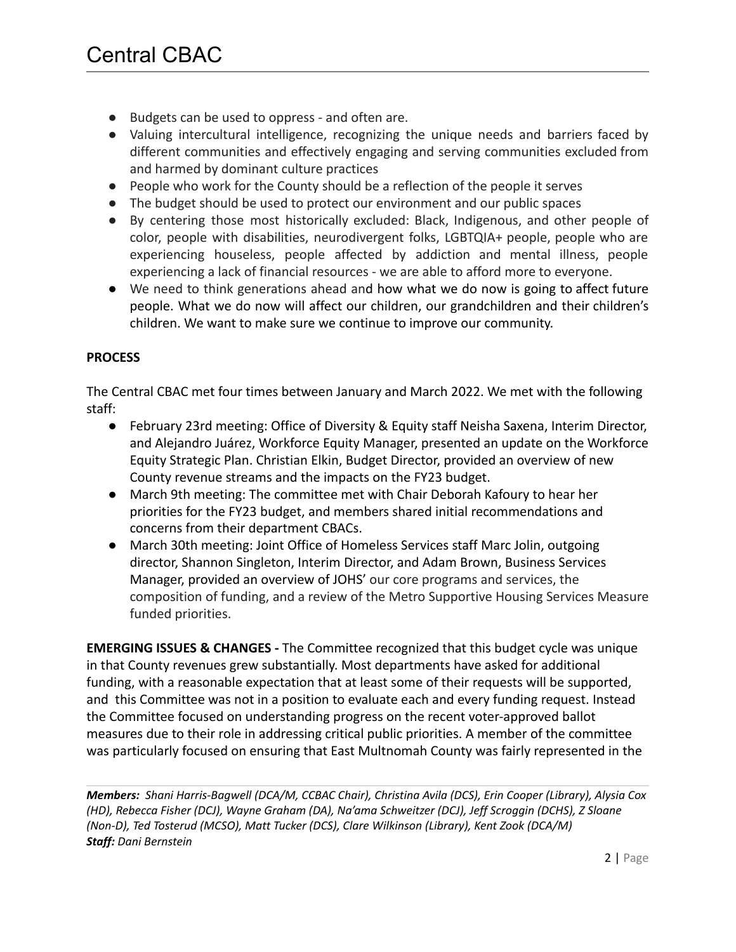- Budgets can be used to oppress and often are.
- Valuing intercultural intelligence, recognizing the unique needs and barriers faced by different communities and effectively engaging and serving communities excluded from and harmed by dominant culture practices
- People who work for the County should be a reflection of the people it serves
- The budget should be used to protect our environment and our public spaces
- By centering those most historically excluded: Black, Indigenous, and other people of color, people with disabilities, neurodivergent folks, LGBTQIA+ people, people who are experiencing houseless, people affected by addiction and mental illness, people experiencing a lack of financial resources - we are able to afford more to everyone.
- We need to think generations ahead and how what we do now is going to affect future people. What we do now will affect our children, our grandchildren and their children's children. We want to make sure we continue to improve our community.

## **PROCESS**

The Central CBAC met four times between January and March 2022. We met with the following staff:

- February 23rd meeting: Office of Diversity & Equity staff Neisha Saxena, Interim Director, and Alejandro Juárez, Workforce Equity Manager, presented an update on the Workforce Equity Strategic Plan. Christian Elkin, Budget Director, provided an overview of new County revenue streams and the impacts on the FY23 budget.
- March 9th meeting: The committee met with Chair Deborah Kafoury to hear her priorities for the FY23 budget, and members shared initial recommendations and concerns from their department CBACs.
- March 30th meeting: Joint Office of Homeless Services staff Marc Jolin, outgoing director, Shannon Singleton, Interim Director, and Adam Brown, Business Services Manager, provided an overview of JOHS' our core programs and services, the composition of funding, and a review of the Metro Supportive Housing Services Measure funded priorities.

**EMERGING ISSUES & CHANGES -** The Committee recognized that this budget cycle was unique in that County revenues grew substantially. Most departments have asked for additional funding, with a reasonable expectation that at least some of their requests will be supported, and this Committee was not in a position to evaluate each and every funding request. Instead the Committee focused on understanding progress on the recent voter-approved ballot measures due to their role in addressing critical public priorities. A member of the committee was particularly focused on ensuring that East Multnomah County was fairly represented in the

*Members: Shani Harris-Bagwell (DCA/M, CCBAC Chair), Christina Avila (DCS), Erin Cooper (Library), Alysia Cox (HD), Rebecca Fisher (DCJ), Wayne Graham (DA), Na'ama Schweitzer (DCJ), Jeff Scroggin (DCHS), Z Sloane (Non-D), Ted Tosterud (MCSO), Matt Tucker (DCS), Clare Wilkinson (Library), Kent Zook (DCA/M) Staff: Dani Bernstein*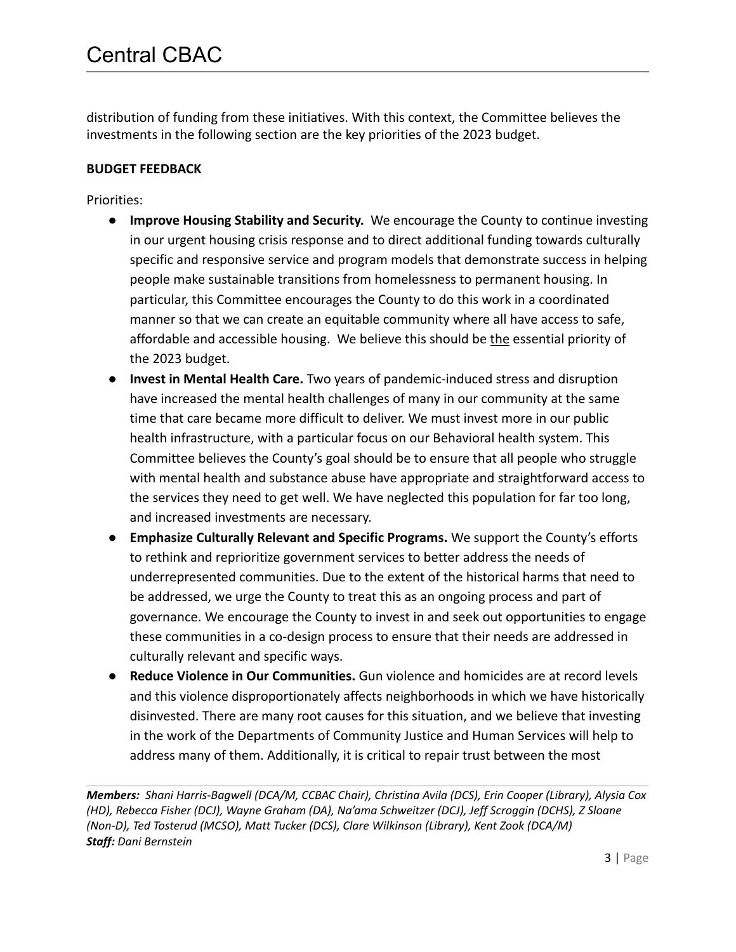distribution of funding from these initiatives. With this context, the Committee believes the investments in the following section are the key priorities of the 2023 budget.

## **BUDGET FEEDBACK**

Priorities:

- **Improve Housing Stability and Security.** We encourage the County to continue investing in our urgent housing crisis response and to direct additional funding towards culturally specific and responsive service and program models that demonstrate success in helping people make sustainable transitions from homelessness to permanent housing. In particular, this Committee encourages the County to do this work in a coordinated manner so that we can create an equitable community where all have access to safe, affordable and accessible housing. We believe this should be the essential priority of the 2023 budget.
- **Invest in Mental Health Care.** Two years of pandemic-induced stress and disruption have increased the mental health challenges of many in our community at the same time that care became more difficult to deliver. We must invest more in our public health infrastructure, with a particular focus on our Behavioral health system. This Committee believes the County's goal should be to ensure that all people who struggle with mental health and substance abuse have appropriate and straightforward access to the services they need to get well. We have neglected this population for far too long, and increased investments are necessary.
- **Emphasize Culturally Relevant and Specific Programs.** We support the County's efforts to rethink and reprioritize government services to better address the needs of underrepresented communities. Due to the extent of the historical harms that need to be addressed, we urge the County to treat this as an ongoing process and part of governance. We encourage the County to invest in and seek out opportunities to engage these communities in a co-design process to ensure that their needs are addressed in culturally relevant and specific ways.
- **Reduce Violence in Our Communities.** Gun violence and homicides are at record levels and this violence disproportionately affects neighborhoods in which we have historically disinvested. There are many root causes for this situation, and we believe that investing in the work of the Departments of Community Justice and Human Services will help to address many of them. Additionally, it is critical to repair trust between the most

*Members: Shani Harris-Bagwell (DCA/M, CCBAC Chair), Christina Avila (DCS), Erin Cooper (Library), Alysia Cox (HD), Rebecca Fisher (DCJ), Wayne Graham (DA), Na'ama Schweitzer (DCJ), Jeff Scroggin (DCHS), Z Sloane (Non-D), Ted Tosterud (MCSO), Matt Tucker (DCS), Clare Wilkinson (Library), Kent Zook (DCA/M) Staff: Dani Bernstein*